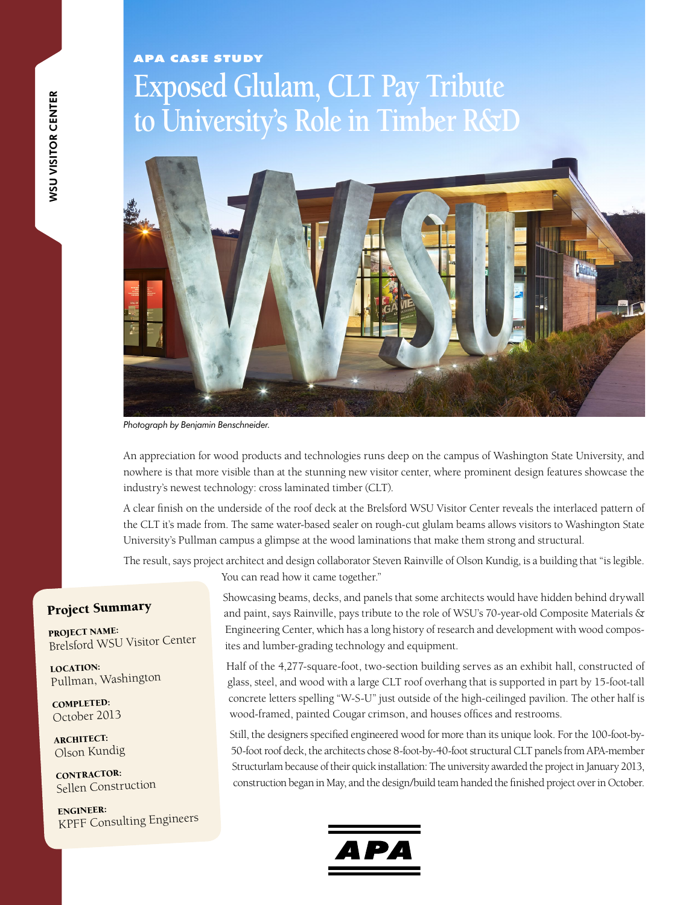## **Exposed Glulam, CLT Pay Tribute to University's Role in Timber R&D** APA Case Study



*Photograph by Benjamin Benschneider.*

An appreciation for wood products and technologies runs deep on the campus of Washington State University, and nowhere is that more visible than at the stunning new visitor center, where prominent design features showcase the industry's newest technology: cross laminated timber (CLT).

A clear finish on the underside of the roof deck at the Brelsford WSU Visitor Center reveals the interlaced pattern of the CLT it's made from. The same water-based sealer on rough-cut glulam beams allows visitors to Washington State University's Pullman campus a glimpse at the wood laminations that make them strong and structural.

The result, says project architect and design collaborator Steven Rainville of Olson Kundig, is a building that "is legible.

You can read how it came together."

## Project Summary

PROJECT NAME: Brelsford WSU Visitor Center

LOCATION: Pullman, Washington

COMPLETED: October 2013

ARCHITECT: Olson Kundig

CONTRACTOR: Sellen Construction

ENGINEER: KPFF Consulting Engineers Showcasing beams, decks, and panels that some architects would have hidden behind drywall and paint, says Rainville, pays tribute to the role of WSU's 70-year-old Composite Materials & Engineering Center, which has a long history of research and development with wood composites and lumber-grading technology and equipment.

Half of the 4,277-square-foot, two-section building serves as an exhibit hall, constructed of glass, steel, and wood with a large CLT roof overhang that is supported in part by 15-foot-tall concrete letters spelling "W-S-U" just outside of the high-ceilinged pavilion. The other half is wood-framed, painted Cougar crimson, and houses offices and restrooms.

Still, the designers specified engineered wood for more than its unique look. For the 100-foot-by-50-foot roof deck, the architects chose 8-foot-by-40-foot structural CLT panels from APA-member Structurlam because of their quick installation: The university awarded the project in January 2013, construction began in May, and the design/build team handed the finished project over in October.